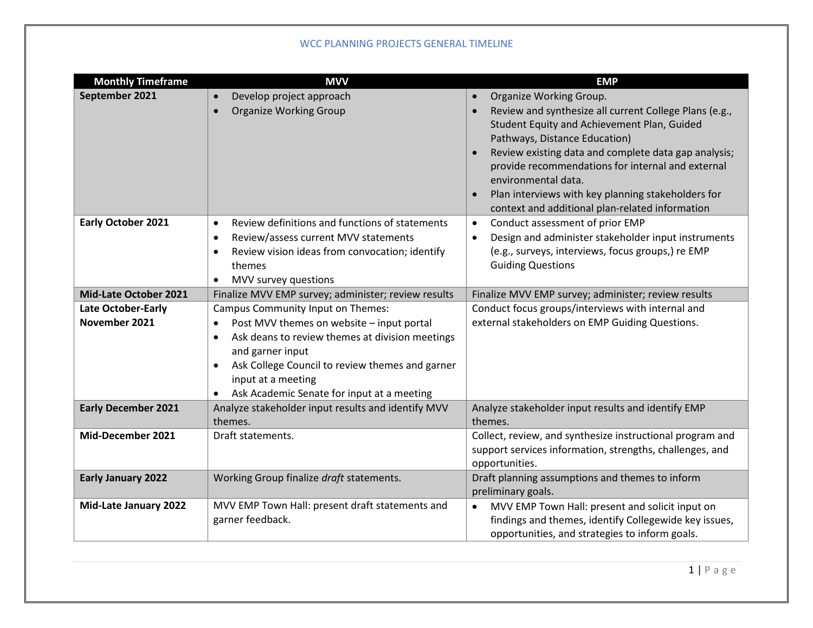## WCC PLANNING PROJECTS GENERAL TIMELINE

| <b>Monthly Timeframe</b>     | <b>MVV</b>                                                                                                                                                                                                                                                                     | <b>EMP</b>                                                                                                                                                                                                                                                                                                                                                                                                                  |
|------------------------------|--------------------------------------------------------------------------------------------------------------------------------------------------------------------------------------------------------------------------------------------------------------------------------|-----------------------------------------------------------------------------------------------------------------------------------------------------------------------------------------------------------------------------------------------------------------------------------------------------------------------------------------------------------------------------------------------------------------------------|
| September 2021               | Develop project approach<br><b>Organize Working Group</b><br>$\bullet$                                                                                                                                                                                                         | Organize Working Group.<br>Review and synthesize all current College Plans (e.g.,<br>Student Equity and Achievement Plan, Guided<br>Pathways, Distance Education)<br>Review existing data and complete data gap analysis;<br>provide recommendations for internal and external<br>environmental data.<br>Plan interviews with key planning stakeholders for<br>$\bullet$<br>context and additional plan-related information |
| <b>Early October 2021</b>    | Review definitions and functions of statements<br>$\bullet$<br>Review/assess current MVV statements<br>$\bullet$<br>Review vision ideas from convocation; identify<br>$\bullet$<br>themes<br>MVV survey questions                                                              | Conduct assessment of prior EMP<br>$\bullet$<br>Design and administer stakeholder input instruments<br>$\bullet$<br>(e.g., surveys, interviews, focus groups,) re EMP<br><b>Guiding Questions</b>                                                                                                                                                                                                                           |
| <b>Mid-Late October 2021</b> | Finalize MVV EMP survey; administer; review results                                                                                                                                                                                                                            | Finalize MVV EMP survey; administer; review results                                                                                                                                                                                                                                                                                                                                                                         |
| Late October-Early           | <b>Campus Community Input on Themes:</b>                                                                                                                                                                                                                                       | Conduct focus groups/interviews with internal and                                                                                                                                                                                                                                                                                                                                                                           |
| November 2021                | Post MVV themes on website - input portal<br>$\bullet$<br>Ask deans to review themes at division meetings<br>$\bullet$<br>and garner input<br>Ask College Council to review themes and garner<br>$\bullet$<br>input at a meeting<br>Ask Academic Senate for input at a meeting | external stakeholders on EMP Guiding Questions.                                                                                                                                                                                                                                                                                                                                                                             |
| <b>Early December 2021</b>   | Analyze stakeholder input results and identify MVV<br>themes.                                                                                                                                                                                                                  | Analyze stakeholder input results and identify EMP<br>themes.                                                                                                                                                                                                                                                                                                                                                               |
| Mid-December 2021            | Draft statements.                                                                                                                                                                                                                                                              | Collect, review, and synthesize instructional program and<br>support services information, strengths, challenges, and<br>opportunities.                                                                                                                                                                                                                                                                                     |
| <b>Early January 2022</b>    | Working Group finalize draft statements.                                                                                                                                                                                                                                       | Draft planning assumptions and themes to inform<br>preliminary goals.                                                                                                                                                                                                                                                                                                                                                       |
| <b>Mid-Late January 2022</b> | MVV EMP Town Hall: present draft statements and<br>garner feedback.                                                                                                                                                                                                            | MVV EMP Town Hall: present and solicit input on<br>$\bullet$<br>findings and themes, identify Collegewide key issues,<br>opportunities, and strategies to inform goals.                                                                                                                                                                                                                                                     |